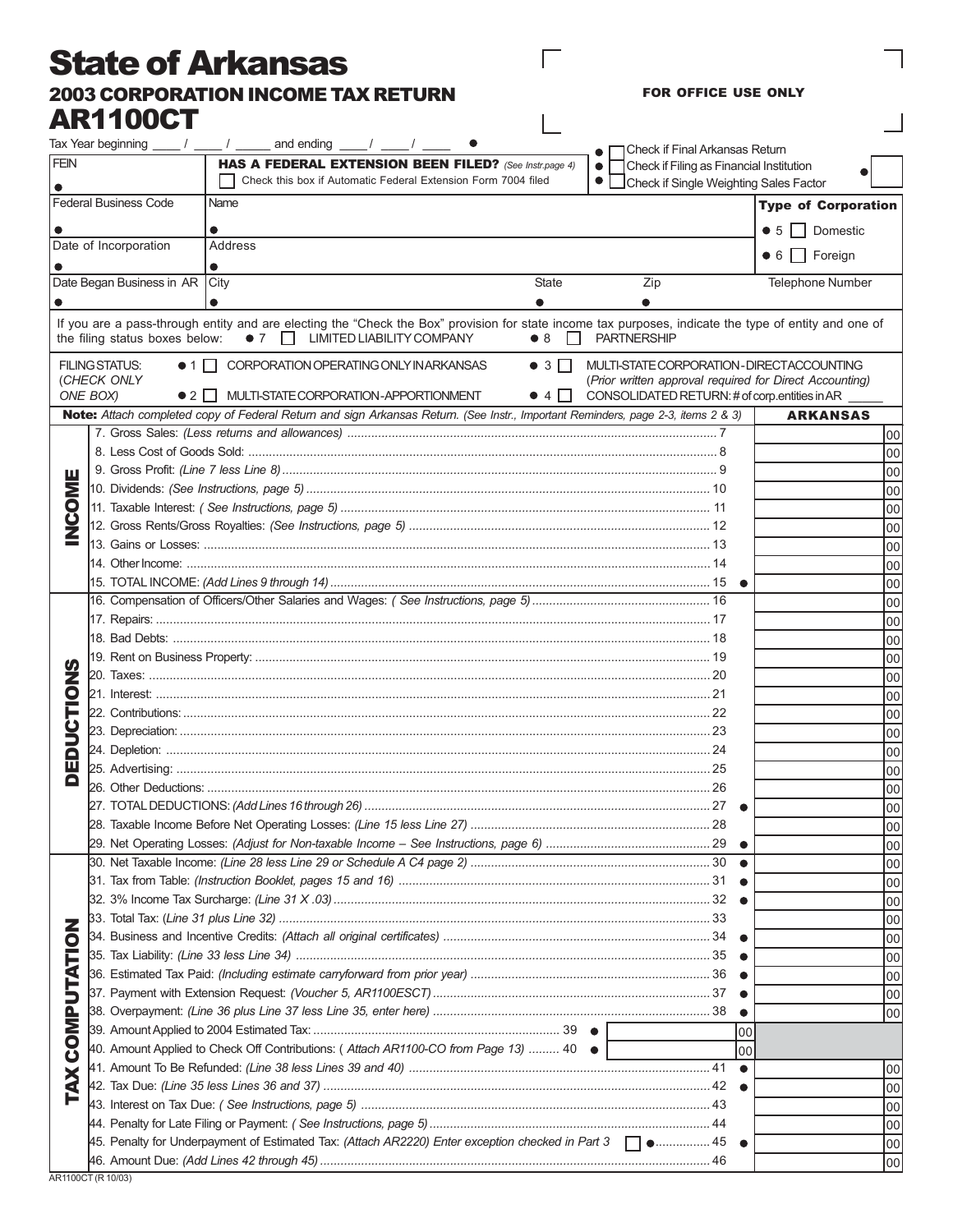## State of Arkansas 2003 CORPORATION INCOME TAX RETURN AR1100CT

FOR OFFICE USE ONLY

 $\overline{1}$ 

 $\Box$ 

 $\overline{1}$ 

|                                      |                                                                                          | Tax Year beginning $\frac{1}{\sqrt{2}}$ / $\frac{1}{\sqrt{2}}$ and ending $\frac{1}{\sqrt{2}}$ / $\frac{1}{\sqrt{2}}$                                                                                 |                             |  | Check if Final Arkansas Return                |           |                                                                                                        |     |
|--------------------------------------|------------------------------------------------------------------------------------------|-------------------------------------------------------------------------------------------------------------------------------------------------------------------------------------------------------|-----------------------------|--|-----------------------------------------------|-----------|--------------------------------------------------------------------------------------------------------|-----|
| <b>FEIN</b>                          |                                                                                          | HAS A FEDERAL EXTENSION BEEN FILED? (See Instr.page 4)                                                                                                                                                |                             |  | Check if Filing as Financial Institution      |           |                                                                                                        |     |
|                                      | Check this box if Automatic Federal Extension Form 7004 filed<br>$\bullet$               |                                                                                                                                                                                                       |                             |  | Check if Single Weighting Sales Factor        |           |                                                                                                        |     |
| <b>Federal Business Code</b><br>Name |                                                                                          |                                                                                                                                                                                                       |                             |  |                                               |           | <b>Type of Corporation</b>                                                                             |     |
|                                      |                                                                                          | $\bullet$                                                                                                                                                                                             |                             |  |                                               |           | Domestic<br>$\bullet$ 5 $\vert$ 1                                                                      |     |
|                                      | Date of Incorporation                                                                    | Address                                                                                                                                                                                               |                             |  |                                               |           |                                                                                                        |     |
|                                      |                                                                                          | $\bullet$                                                                                                                                                                                             |                             |  |                                               |           | $\bullet$ 6 $\Box$ Foreign                                                                             |     |
| Date Began Business in AR            |                                                                                          | City                                                                                                                                                                                                  | State                       |  | Zip                                           |           | <b>Telephone Number</b>                                                                                |     |
|                                      |                                                                                          |                                                                                                                                                                                                       |                             |  |                                               |           |                                                                                                        |     |
|                                      | the filing status boxes below:                                                           | If you are a pass-through entity and are electing the "Check the Box" provision for state income tax purposes, indicate the type of entity and one of<br>$\bullet$ 7 $\Box$ LIMITED LIABILITY COMPANY | • 8<br>$\mathbf{L}$         |  | <b>PARTNERSHIP</b>                            |           |                                                                                                        |     |
|                                      | <b>FILING STATUS:</b><br>(CHECK ONLY                                                     | ● 1   CORPORATION OPERATING ONLY INARKANSAS                                                                                                                                                           | $\bullet$ 3 $\Box$          |  |                                               |           | MULTI-STATE CORPORATION - DIRECT ACCOUNTING<br>(Prior written approval required for Direct Accounting) |     |
|                                      | ONE BOX)<br>$\bullet$ 2                                                                  | MULTI-STATE CORPORATION-APPORTIONMENT                                                                                                                                                                 | $\bullet$ 4 $\vert$ $\vert$ |  | CONSOLIDATED RETURN: # of corp.entities in AR |           |                                                                                                        |     |
|                                      |                                                                                          | Note: Attach completed copy of Federal Return and sign Arkansas Return. (See Instr., Important Reminders, page 2-3, items 2 & 3)                                                                      |                             |  |                                               |           | <b>ARKANSAS</b>                                                                                        |     |
|                                      |                                                                                          |                                                                                                                                                                                                       |                             |  |                                               |           |                                                                                                        | 00  |
|                                      |                                                                                          |                                                                                                                                                                                                       |                             |  |                                               |           |                                                                                                        | 00  |
| ш                                    |                                                                                          |                                                                                                                                                                                                       |                             |  |                                               |           |                                                                                                        | 00  |
| <b>NO</b>                            |                                                                                          |                                                                                                                                                                                                       |                             |  |                                               |           |                                                                                                        | 00  |
|                                      |                                                                                          |                                                                                                                                                                                                       |                             |  |                                               |           |                                                                                                        | 00  |
| ن<br>Z                               |                                                                                          |                                                                                                                                                                                                       |                             |  |                                               |           |                                                                                                        | 00  |
|                                      |                                                                                          |                                                                                                                                                                                                       |                             |  |                                               |           |                                                                                                        | 00  |
|                                      |                                                                                          |                                                                                                                                                                                                       |                             |  |                                               |           |                                                                                                        | 00  |
|                                      |                                                                                          |                                                                                                                                                                                                       |                             |  |                                               |           |                                                                                                        | 00  |
|                                      |                                                                                          |                                                                                                                                                                                                       |                             |  |                                               |           |                                                                                                        | 00  |
|                                      |                                                                                          |                                                                                                                                                                                                       |                             |  |                                               |           |                                                                                                        | 00  |
|                                      |                                                                                          |                                                                                                                                                                                                       |                             |  |                                               |           |                                                                                                        | 00  |
|                                      |                                                                                          |                                                                                                                                                                                                       |                             |  |                                               |           |                                                                                                        | 00  |
| z                                    |                                                                                          |                                                                                                                                                                                                       |                             |  |                                               |           |                                                                                                        | 00  |
| $\overline{\mathbf{Q}}$              |                                                                                          |                                                                                                                                                                                                       |                             |  |                                               |           |                                                                                                        | 00  |
| F                                    |                                                                                          |                                                                                                                                                                                                       |                             |  |                                               |           |                                                                                                        | 00  |
| טעם                                  |                                                                                          |                                                                                                                                                                                                       |                             |  |                                               |           |                                                                                                        | 00  |
| 画                                    |                                                                                          |                                                                                                                                                                                                       |                             |  |                                               |           |                                                                                                        | 00  |
| Q                                    |                                                                                          |                                                                                                                                                                                                       |                             |  |                                               |           |                                                                                                        | 00  |
|                                      |                                                                                          |                                                                                                                                                                                                       |                             |  |                                               |           |                                                                                                        | 00  |
|                                      |                                                                                          |                                                                                                                                                                                                       |                             |  |                                               |           |                                                                                                        | 00  |
|                                      |                                                                                          |                                                                                                                                                                                                       |                             |  |                                               |           |                                                                                                        | 00  |
|                                      |                                                                                          |                                                                                                                                                                                                       |                             |  |                                               |           |                                                                                                        | 00  |
|                                      |                                                                                          |                                                                                                                                                                                                       |                             |  |                                               |           |                                                                                                        | 00  |
|                                      |                                                                                          |                                                                                                                                                                                                       |                             |  |                                               |           |                                                                                                        | 00  |
|                                      |                                                                                          |                                                                                                                                                                                                       |                             |  |                                               |           |                                                                                                        | 00  |
|                                      |                                                                                          |                                                                                                                                                                                                       |                             |  |                                               |           |                                                                                                        | 00  |
|                                      |                                                                                          |                                                                                                                                                                                                       |                             |  |                                               |           |                                                                                                        | 00  |
|                                      |                                                                                          |                                                                                                                                                                                                       |                             |  |                                               |           |                                                                                                        | 00  |
| <b>COMPUTATIO</b><br>×<br>Ŕ          |                                                                                          |                                                                                                                                                                                                       |                             |  |                                               |           |                                                                                                        | 100 |
|                                      |                                                                                          |                                                                                                                                                                                                       |                             |  |                                               |           |                                                                                                        | 100 |
|                                      |                                                                                          |                                                                                                                                                                                                       |                             |  |                                               |           |                                                                                                        | 00  |
|                                      | 00<br>40. Amount Applied to Check Off Contributions: (Attach AR1100-CO from Page 13)  40 |                                                                                                                                                                                                       |                             |  |                                               |           |                                                                                                        |     |
|                                      |                                                                                          |                                                                                                                                                                                                       |                             |  |                                               | 00        |                                                                                                        |     |
|                                      |                                                                                          | 41. Amount To Be Refunded: <i>(Line 38 less Lines 39 and 40) ………………………………………………………………………</i> ……41                                                                                                     |                             |  |                                               | $\bullet$ |                                                                                                        | 00  |
|                                      |                                                                                          |                                                                                                                                                                                                       |                             |  |                                               |           |                                                                                                        | 00  |
|                                      |                                                                                          |                                                                                                                                                                                                       |                             |  |                                               |           |                                                                                                        | 100 |
|                                      |                                                                                          |                                                                                                                                                                                                       |                             |  |                                               |           |                                                                                                        | 100 |
|                                      |                                                                                          | 45 eenalty for Underpayment of Estimated Tax: (Attach AR2220) Enter exception checked in Part 3 $\Box$ 45                                                                                             |                             |  |                                               |           |                                                                                                        | 100 |
|                                      |                                                                                          |                                                                                                                                                                                                       |                             |  |                                               |           |                                                                                                        | 00  |